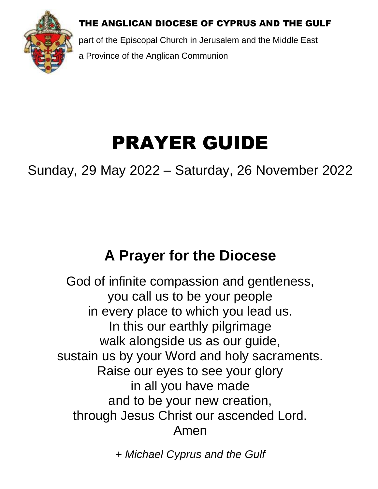THE ANGLICAN DIOCESE OF CYPRUS AND THE GULF



part of the Episcopal Church in Jerusalem and the Middle East a Province of the Anglican Communion

## PRAYER GUIDE

Sunday, 29 May 2022 – Saturday, 26 November 2022

## **A Prayer for the Diocese**

God of infinite compassion and gentleness, you call us to be your people in every place to which you lead us. In this our earthly pilgrimage walk alongside us as our guide, sustain us by your Word and holy sacraments. Raise our eyes to see your glory in all you have made and to be your new creation, through Jesus Christ our ascended Lord. Amen

*+ Michael Cyprus and the Gulf*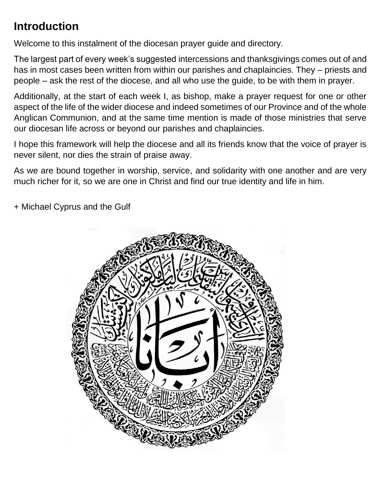## **Introduction**

Welcome to this instalment of the diocesan prayer guide and directory.

The largest part of every week's suggested intercessions and thanksgivings comes out of and has in most cases been written from within our parishes and chaplaincies. They – priests and people – ask the rest of the diocese, and all who use the guide, to be with them in prayer.

Additionally, at the start of each week I, as bishop, make a prayer request for one or other aspect of the life of the wider diocese and indeed sometimes of our Province and of the whole Anglican Communion, and at the same time mention is made of those ministries that serve our diocesan life across or beyond our parishes and chaplaincies.

I hope this framework will help the diocese and all its friends know that the voice of prayer is never silent, nor dies the strain of praise away.

As we are bound together in worship, service, and solidarity with one another and are very much richer for it, so we are one in Christ and find our true identity and life in him.

+ Michael Cyprus and the Gulf

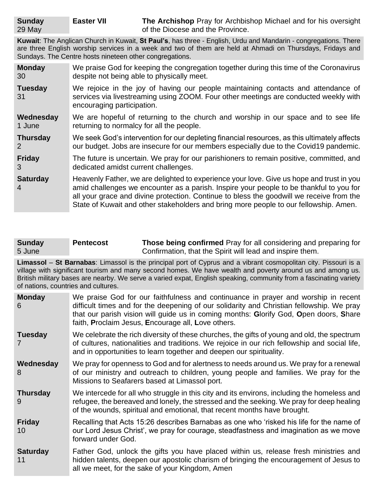**Easter VII The Archishop** Pray for Archbishop Michael and for his oversight of the Diocese and the Province.

**Kuwait**: The Anglican Church in Kuwait, **St Paul's**, has three - English, Urdu and Mandarin - congregations. There are three English worship services in a week and two of them are held at Ahmadi on Thursdays, Fridays and Sundays. The Centre hosts nineteen other congregations.

| <b>Monday</b>        | We praise God for keeping the congregation together during this time of the Coronavirus                                                                                                                                                                                                                                                                                  |
|----------------------|--------------------------------------------------------------------------------------------------------------------------------------------------------------------------------------------------------------------------------------------------------------------------------------------------------------------------------------------------------------------------|
| 30                   | despite not being able to physically meet.                                                                                                                                                                                                                                                                                                                               |
| <b>Tuesday</b><br>31 | We rejoice in the joy of having our people maintaining contacts and attendance of<br>services via livestreaming using ZOOM. Four other meetings are conducted weekly with<br>encouraging participation.                                                                                                                                                                  |
| Wednesday            | We are hopeful of returning to the church and worship in our space and to see life                                                                                                                                                                                                                                                                                       |
| 1 June               | returning to normalcy for all the people.                                                                                                                                                                                                                                                                                                                                |
| <b>Thursday</b>      | We seek God's intervention for our depleting financial resources, as this ultimately affects                                                                                                                                                                                                                                                                             |
| 2                    | our budget. Jobs are insecure for our members especially due to the Covid19 pandemic.                                                                                                                                                                                                                                                                                    |
| <b>Friday</b>        | The future is uncertain. We pray for our parishioners to remain positive, committed, and                                                                                                                                                                                                                                                                                 |
| 3                    | dedicated amidst current challenges.                                                                                                                                                                                                                                                                                                                                     |
| <b>Saturday</b><br>4 | Heavenly Father, we are delighted to experience your love. Give us hope and trust in you<br>amid challenges we encounter as a parish. Inspire your people to be thankful to you for<br>all your grace and divine protection. Continue to bless the goodwill we receive from the<br>State of Kuwait and other stakeholders and bring more people to our fellowship. Amen. |

**Sunday** 5 June **Pentecost Those being confirmed** Pray for all considering and preparing for Confirmation, that the Spirit will lead and inspire them.

**Limassol** – **St Barnabas**: Limassol is the principal port of Cyprus and a vibrant cosmopolitan city. Pissouri is a village with significant tourism and many second homes. We have wealth and poverty around us and among us. British military bases are nearby. We serve a varied expat, English speaking, community from a fascinating variety of nations, countries and cultures.

| <b>Monday</b><br>6    | We praise God for our faithfulness and continuance in prayer and worship in recent<br>difficult times and for the deepening of our solidarity and Christian fellowship. We pray<br>that our parish vision will guide us in coming months: Glorify God, Open doors, Share<br>faith, Proclaim Jesus, Encourage all, Love others. |
|-----------------------|--------------------------------------------------------------------------------------------------------------------------------------------------------------------------------------------------------------------------------------------------------------------------------------------------------------------------------|
| <b>Tuesday</b>        | We celebrate the rich diversity of these churches, the gifts of young and old, the spectrum<br>of cultures, nationalities and traditions. We rejoice in our rich fellowship and social life,<br>and in opportunities to learn together and deepen our spirituality.                                                            |
| Wednesday<br>8        | We pray for openness to God and for alertness to needs around us. We pray for a renewal<br>of our ministry and outreach to children, young people and families. We pray for the<br>Missions to Seafarers based at Limassol port.                                                                                               |
| <b>Thursday</b><br>9  | We intercede for all who struggle in this city and its environs, including the homeless and<br>refugee, the bereaved and lonely, the stressed and the seeking. We pray for deep healing<br>of the wounds, spiritual and emotional, that recent months have brought.                                                            |
| <b>Friday</b><br>10   | Recalling that Acts 15:26 describes Barnabas as one who 'risked his life for the name of<br>our Lord Jesus Christ', we pray for courage, steadfastness and imagination as we move<br>forward under God.                                                                                                                        |
| <b>Saturday</b><br>11 | Father God, unlock the gifts you have placed within us, release fresh ministries and<br>hidden talents, deepen our apostolic charism of bringing the encouragement of Jesus to<br>all we meet, for the sake of your Kingdom, Amen                                                                                              |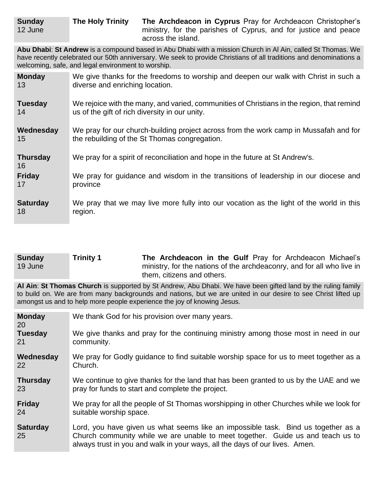**Abu Dhabi**: **St Andrew** is a compound based in Abu Dhabi with a mission Church in Al Ain, called St Thomas. We have recently celebrated our 50th anniversary. We seek to provide Christians of all traditions and denominations a welcoming, safe, and legal environment to worship.

| <b>Monday</b>         | We give thanks for the freedoms to worship and deepen our walk with Christ in such a       |
|-----------------------|--------------------------------------------------------------------------------------------|
| 13                    | diverse and enriching location.                                                            |
| <b>Tuesday</b>        | We rejoice with the many, and varied, communities of Christians in the region, that remind |
| 14                    | us of the gift of rich diversity in our unity.                                             |
| Wednesday             | We pray for our church-building project across from the work camp in Mussafah and for      |
| 15                    | the rebuilding of the St Thomas congregation.                                              |
| <b>Thursday</b><br>16 | We pray for a spirit of reconciliation and hope in the future at St Andrew's.              |
| <b>Friday</b>         | We pray for guidance and wisdom in the transitions of leadership in our diocese and        |
| 17                    | province                                                                                   |
| <b>Saturday</b>       | We pray that we may live more fully into our vocation as the light of the world in this    |
| 18                    | region.                                                                                    |

| <b>Sunday</b> | <b>Trinity 1</b> | The Archdeacon in the Gulf Pray for Archdeacon Michael's               |
|---------------|------------------|------------------------------------------------------------------------|
| 19 June       |                  | ministry, for the nations of the archdeaconry, and for all who live in |
|               |                  | them, citizens and others.                                             |

**Al Ain**: **St Thomas Church** is supported by St Andrew, Abu Dhabi. We have been gifted land by the ruling family to build on. We are from many backgrounds and nations, but we are united in our desire to see Christ lifted up amongst us and to help more people experience the joy of knowing Jesus.

| <b>Monday</b><br><b>20</b> | We thank God for his provision over many years.                                                                                                                                                                                                     |
|----------------------------|-----------------------------------------------------------------------------------------------------------------------------------------------------------------------------------------------------------------------------------------------------|
| <b>Tuesday</b>             | We give thanks and pray for the continuing ministry among those most in need in our                                                                                                                                                                 |
| 21                         | community.                                                                                                                                                                                                                                          |
| Wednesday                  | We pray for Godly guidance to find suitable worship space for us to meet together as a                                                                                                                                                              |
| <b>22</b>                  | Church.                                                                                                                                                                                                                                             |
| <b>Thursday</b>            | We continue to give thanks for the land that has been granted to us by the UAE and we                                                                                                                                                               |
| 23                         | pray for funds to start and complete the project.                                                                                                                                                                                                   |
| <b>Friday</b>              | We pray for all the people of St Thomas worshipping in other Churches while we look for                                                                                                                                                             |
| 24                         | suitable worship space.                                                                                                                                                                                                                             |
| <b>Saturday</b><br>25      | Lord, you have given us what seems like an impossible task. Bind us together as a<br>Church community while we are unable to meet together. Guide us and teach us to<br>always trust in you and walk in your ways, all the days of our lives. Amen. |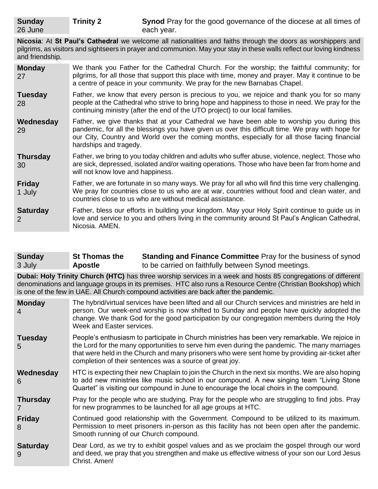**Nicosia**: At **St Paul's Cathedral** we welcome all nationalities and faiths through the doors as worshippers and pilgrims, as visitors and sightseers in prayer and communion. May your stay in these walls reflect our loving kindness and friendship.

| <b>Monday</b><br>27     | We thank you Father for the Cathedral Church. For the worship; the faithful community; for<br>pilgrims, for all those that support this place with time, money and prayer. May it continue to be<br>a centre of peace in your community. We pray for the new Barnabas Chapel.                                              |
|-------------------------|----------------------------------------------------------------------------------------------------------------------------------------------------------------------------------------------------------------------------------------------------------------------------------------------------------------------------|
| <b>Tuesday</b><br>28    | Father, we know that every person is precious to you, we rejoice and thank you for so many<br>people at the Cathedral who strive to bring hope and happiness to those in need. We pray for the<br>continuing ministry (after the end of the UTO project) to our local families.                                            |
| Wednesday<br>29         | Father, we give thanks that at your Cathedral we have been able to worship you during this<br>pandemic, for all the blessings you have given us over this difficult time. We pray with hope for<br>our City, Country and World over the coming months, especially for all those facing financial<br>hardships and tragedy. |
| <b>Thursday</b><br>30   | Father, we bring to you today children and adults who suffer abuse, violence, neglect. Those who<br>are sick, depressed, isolated and/or waiting operations. Those who have been far from home and<br>will not know love and happiness.                                                                                    |
| <b>Friday</b><br>1 July | Father, we are fortunate in so many ways. We pray for all who will find this time very challenging.<br>We pray for countries close to us who are at war, countries without food and clean water, and<br>countries close to us who are without medical assistance.                                                          |
| <b>Saturday</b><br>2    | Father, bless our efforts in building your kingdom. May your Holy Spirit continue to guide us in<br>love and service to you and others living in the community around St Paul's Anglican Cathedral,<br>Nicosia. AMEN.                                                                                                      |

| <b>Sunday</b> | <b>St Thomas the</b> | <b>Standing and Finance Committee Pray for the business of synod</b> |
|---------------|----------------------|----------------------------------------------------------------------|
| 3 July        | <b>Apostle</b>       | to be carried on faithfully between Synod meetings.                  |

**Dubai: Holy Trinity Church (HTC)** has three worship services in a week and hosts 85 congregations of different denominations and language groups in its premises. HTC also runs a Resource Centre (Christian Bookshop) which is one of the few in UAE. All Church compound activities are back after the pandemic.

| <b>Monday</b><br>$\overline{4}$ | The hybrid/virtual services have been lifted and all our Church services and ministries are held in<br>person. Our week-end worship is now shifted to Sunday and people have quickly adopted the<br>change. We thank God for the good participation by our congregation members during the Holy<br>Week and Easter services.                                     |
|---------------------------------|------------------------------------------------------------------------------------------------------------------------------------------------------------------------------------------------------------------------------------------------------------------------------------------------------------------------------------------------------------------|
| <b>Tuesday</b><br>5             | People's enthusiasm to participate in Church ministries has been very remarkable. We rejoice in<br>the Lord for the many opportunities to serve him even during the pandemic. The many marriages<br>that were held in the Church and many prisoners who were sent home by providing air-ticket after<br>completion of their sentences was a source of great joy. |
| Wednesday<br>6                  | HTC is expecting their new Chaplain to join the Church in the next six months. We are also hoping<br>to add new ministries like music school in our compound. A new singing team "Living Stone<br>Quartet" is visiting our compound in June to encourage the local choirs in the compound.                                                                       |
| <b>Thursday</b>                 | Pray for the people who are studying. Pray for the people who are struggling to find jobs. Pray<br>for new programmes to be launched for all age groups at HTC.                                                                                                                                                                                                  |
| <b>Friday</b><br>8              | Continued good relationship with the Government. Compound to be utilized to its maximum.<br>Permission to meet prisoners in-person as this facility has not been open after the pandemic.<br>Smooth running of our Church compound.                                                                                                                              |
| <b>Saturday</b><br>9            | Dear Lord, as we try to exhibit gospel values and as we proclaim the gospel through our word<br>and deed, we pray that you strengthen and make us effective witness of your son our Lord Jesus<br>Christ. Amen!                                                                                                                                                  |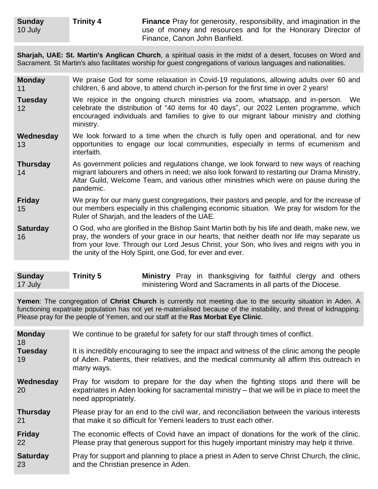**Sharjah, UAE: St. Martin's Anglican Church**, a spiritual oasis in the midst of a desert, focuses on Word and Sacrament. St Martin's also facilitates worship for guest congregations of various languages and nationalities.

| <b>Monday</b><br>11                 | We praise God for some relaxation in Covid-19 regulations, allowing adults over 60 and<br>children, 6 and above, to attend church in-person for the first time in over 2 years!                                                                                                                                                                      |
|-------------------------------------|------------------------------------------------------------------------------------------------------------------------------------------------------------------------------------------------------------------------------------------------------------------------------------------------------------------------------------------------------|
| <b>Tuesday</b><br>$12 \overline{ }$ | We rejoice in the ongoing church ministries via zoom, whatsapp, and in-person. We<br>celebrate the distribution of "40 items for 40 days", our 2022 Lenten programme, which<br>encouraged individuals and families to give to our migrant labour ministry and clothing<br>ministry.                                                                  |
| Wednesday<br>13                     | We look forward to a time when the church is fully open and operational, and for new<br>opportunities to engage our local communities, especially in terms of ecumenism and<br>interfaith.                                                                                                                                                           |
| <b>Thursday</b><br>14               | As government policies and regulations change, we look forward to new ways of reaching<br>migrant labourers and others in need; we also look forward to restarting our Drama Ministry,<br>Altar Guild, Welcome Team, and various other ministries which were on pause during the<br>pandemic.                                                        |
| <b>Friday</b><br>15                 | We pray for our many guest congregations, their pastors and people, and for the increase of<br>our members especially in this challenging economic situation. We pray for wisdom for the<br>Ruler of Sharjah, and the leaders of the UAE.                                                                                                            |
| <b>Saturday</b><br>16               | O God, who are glorified in the Bishop Saint Martin both by his life and death, make new, we<br>pray, the wonders of your grace in our hearts, that neither death nor life may separate us<br>from your love. Through our Lord Jesus Christ, your Son, who lives and reigns with you in<br>the unity of the Holy Spirit, one God, for ever and ever. |

| <b>Sunday</b> | <b>Trinity 5</b> |  | Ministry Pray in thanksgiving for faithful clergy and others |  |  |  |
|---------------|------------------|--|--------------------------------------------------------------|--|--|--|
| 17 July       |                  |  | ministering Word and Sacraments in all parts of the Diocese. |  |  |  |

**Yemen**: The congregation of **Christ Church** is currently not meeting due to the security situation in Aden. A functioning expatriate population has not yet re-materialised because of the instability, and threat of kidnapping. Please pray for the people of Yemen, and our staff at the **Ras Morbat Eye Clinic**.

| <b>Monday</b><br>18    | We continue to be grateful for safety for our staff through times of conflict.                                                                                                                         |
|------------------------|--------------------------------------------------------------------------------------------------------------------------------------------------------------------------------------------------------|
| <b>Tuesday</b><br>19   | It is incredibly encouraging to see the impact and witness of the clinic among the people<br>of Aden. Patients, their relatives, and the medical community all affirm this outreach in<br>many ways.   |
| Wednesday<br><b>20</b> | Pray for wisdom to prepare for the day when the fighting stops and there will be<br>expatriates in Aden looking for sacramental ministry – that we will be in place to meet the<br>need appropriately. |
| <b>Thursday</b>        | Please pray for an end to the civil war, and reconciliation between the various interests                                                                                                              |
| 21                     | that make it so difficult for Yemeni leaders to trust each other.                                                                                                                                      |
| <b>Friday</b>          | The economic effects of Covid have an impact of donations for the work of the clinic.                                                                                                                  |
| 22                     | Please pray that generous support for this hugely important ministry may help it thrive.                                                                                                               |
| <b>Saturday</b>        | Pray for support and planning to place a priest in Aden to serve Christ Church, the clinic,                                                                                                            |
| 23                     | and the Christian presence in Aden.                                                                                                                                                                    |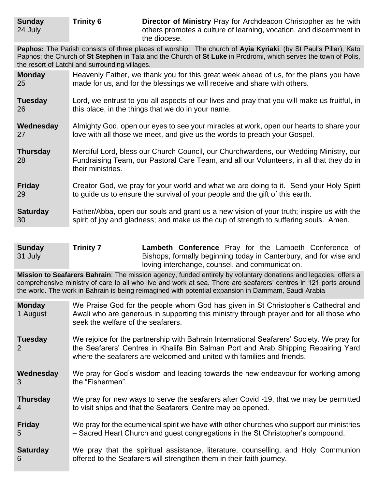**Paphos:** The Parish consists of three places of worship: The church of **Ayia Kyriaki**, (by St Paul's Pillar), Kato Paphos; the Church of **St Stephen** in Tala and the Church of **St Luke** in Prodromi, which serves the town of Polis, the resort of Latchi and surrounding villages.

| <b>Monday</b>         | Heavenly Father, we thank you for this great week ahead of us, for the plans you have                                                                                                                  |
|-----------------------|--------------------------------------------------------------------------------------------------------------------------------------------------------------------------------------------------------|
| 25                    | made for us, and for the blessings we will receive and share with others.                                                                                                                              |
| <b>Tuesday</b>        | Lord, we entrust to you all aspects of our lives and pray that you will make us fruitful, in                                                                                                           |
| 26                    | this place, in the things that we do in your name.                                                                                                                                                     |
| Wednesday             | Almighty God, open our eyes to see your miracles at work, open our hearts to share your                                                                                                                |
| 27                    | love with all those we meet, and give us the words to preach your Gospel.                                                                                                                              |
| <b>Thursday</b><br>28 | Merciful Lord, bless our Church Council, our Churchwardens, our Wedding Ministry, our<br>Fundraising Team, our Pastoral Care Team, and all our Volunteers, in all that they do in<br>their ministries. |
| <b>Friday</b>         | Creator God, we pray for your world and what we are doing to it. Send your Holy Spirit                                                                                                                 |
| 29                    | to guide us to ensure the survival of your people and the gift of this earth.                                                                                                                          |
| <b>Saturday</b>       | Father/Abba, open our souls and grant us a new vision of your truth; inspire us with the                                                                                                               |
| 30                    | spirit of joy and gladness; and make us the cup of strength to suffering souls. Amen.                                                                                                                  |

**Sunday** 31 July **Trinity 7 Lambeth Conference** Pray for the Lambeth Conference of Bishops, formally beginning today in Canterbury, and for wise and loving interchange, counsel, and communication.

**Mission to Seafarers Bahrain**: The mission agency, funded entirely by voluntary donations and legacies, offers a comprehensive ministry of care to all who live and work at sea. There are seafarers' centres in 121 ports around the world. The work in Bahrain is being reimagined with potential expansion in Dammam, Saudi Arabia

- **Monday** 1 August We Praise God for the people whom God has given in St Christopher's Cathedral and Awali who are generous in supporting this ministry through prayer and for all those who seek the welfare of the seafarers.
- **Tuesday** 2 We rejoice for the partnership with Bahrain International Seafarers' Society. We pray for the Seafarers' Centres in Khalifa Bin Salman Port and Arab Shipping Repairing Yard where the seafarers are welcomed and united with families and friends.
- **Wednesday** 3 We pray for God's wisdom and leading towards the new endeavour for working among the "Fishermen".
- **Thursday** 4 We pray for new ways to serve the seafarers after Covid -19, that we may be permitted to visit ships and that the Seafarers' Centre may be opened.
- **Friday** 5 We pray for the ecumenical spirit we have with other churches who support our ministries – Sacred Heart Church and guest congregations in the St Christopher's compound.
- **Saturday** 6 We pray that the spiritual assistance, literature, counselling, and Holy Communion offered to the Seafarers will strengthen them in their faith journey.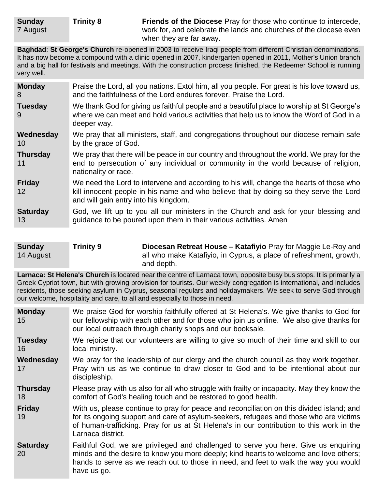**Trinity 8 Friends of the Diocese** Pray for those who continue to intercede, work for, and celebrate the lands and churches of the diocese even when they are far away.

**Baghdad**: **St George's Church** re-opened in 2003 to receive Iraqi people from different Christian denominations. It has now become a compound with a clinic opened in 2007, kindergarten opened in 2011, Mother's Union branch and a big hall for festivals and meetings. With the construction process finished, the Redeemer School is running very well.

| <b>Monday</b>         | Praise the Lord, all you nations. Extol him, all you people. For great is his love toward us,                                                                                                                             |  |  |
|-----------------------|---------------------------------------------------------------------------------------------------------------------------------------------------------------------------------------------------------------------------|--|--|
| 8                     | and the faithfulness of the Lord endures forever. Praise the Lord.                                                                                                                                                        |  |  |
| <b>Tuesday</b><br>9   | We thank God for giving us faithful people and a beautiful place to worship at St George's<br>where we can meet and hold various activities that help us to know the Word of God in a<br>deeper way.                      |  |  |
| Wednesday             | We pray that all ministers, staff, and congregations throughout our diocese remain safe                                                                                                                                   |  |  |
| 10                    | by the grace of God.                                                                                                                                                                                                      |  |  |
| <b>Thursday</b><br>11 | We pray that there will be peace in our country and throughout the world. We pray for the<br>end to persecution of any individual or community in the world because of religion,<br>nationality or race.                  |  |  |
| <b>Friday</b><br>12   | We need the Lord to intervene and according to his will, change the hearts of those who<br>kill innocent people in his name and who believe that by doing so they serve the Lord<br>and will gain entry into his kingdom. |  |  |
| <b>Saturday</b>       | God, we lift up to you all our ministers in the Church and ask for your blessing and                                                                                                                                      |  |  |
| 13                    | guidance to be poured upon them in their various activities. Amen                                                                                                                                                         |  |  |

| <b>Sunday</b> | <b>Trinity 9</b> | Diocesan Retreat House - Katafiyio Pray for Maggie Le-Roy and      |
|---------------|------------------|--------------------------------------------------------------------|
| 14 August     |                  | all who make Katafiyio, in Cyprus, a place of refreshment, growth, |
|               |                  | and depth.                                                         |

**Larnaca: St Helena's Church** is located near the centre of Larnaca town, opposite busy bus stops. It is primarily a Greek Cypriot town, but with growing provision for tourists. Our weekly congregation is international, and includes residents, those seeking asylum in Cyprus, seasonal regulars and holidaymakers. We seek to serve God through our welcome, hospitality and care, to all and especially to those in need.

- **Monday** 15 We praise God for worship faithfully offered at St Helena's. We give thanks to God for our fellowship with each other and for those who join us online. We also give thanks for our local outreach through charity shops and our booksale.
- **Tuesday** 16 We rejoice that our volunteers are willing to give so much of their time and skill to our local ministry.
- **Wednesday** 17 We pray for the leadership of our clergy and the church council as they work together. Pray with us as we continue to draw closer to God and to be intentional about our discipleship.
- **Thursday** 18 Please pray with us also for all who struggle with frailty or incapacity. May they know the comfort of God's healing touch and be restored to good health.

**Friday** 19 With us, please continue to pray for peace and reconciliation on this divided island; and for its ongoing support and care of asylum-seekers, refugees and those who are victims of human-trafficking. Pray for us at St Helena's in our contribution to this work in the Larnaca district.

**Saturday** 20 Faithful God, we are privileged and challenged to serve you here. Give us enquiring minds and the desire to know you more deeply; kind hearts to welcome and love others; hands to serve as we reach out to those in need, and feet to walk the way you would have us go.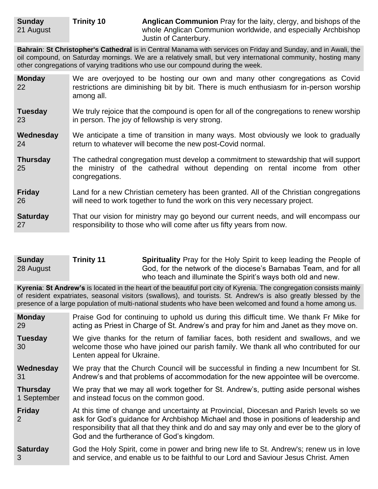21 August

**Bahrain**: **St Christopher's Cathedral** is in Central Manama with services on Friday and Sunday, and in Awali, the oil compound, on Saturday mornings. We are a relatively small, but very international community, hosting many other congregations of varying traditions who use our compound during the week.

**Monday** 22 We are overjoyed to be hosting our own and many other congregations as Covid restrictions are diminishing bit by bit. There is much enthusiasm for in-person worship among all.

**Tuesday** 23 We truly rejoice that the compound is open for all of the congregations to renew worship in person. The joy of fellowship is very strong.

**Wednesday** 24 We anticipate a time of transition in many ways. Most obviously we look to gradually return to whatever will become the new post-Covid normal.

**Thursday** 25 The cathedral congregation must develop a commitment to stewardship that will support the ministry of the cathedral without depending on rental income from other congregations.

**Friday** 26 Land for a new Christian cemetery has been granted. All of the Christian congregations will need to work together to fund the work on this very necessary project.

**Saturday** 27 That our vision for ministry may go beyond our current needs, and will encompass our responsibility to those who will come after us fifty years from now.

| <b>Sunday</b> | <b>Trinity 11</b> | <b>Spirituality</b> Pray for the Holy Spirit to keep leading the People of |
|---------------|-------------------|----------------------------------------------------------------------------|
| 28 August     |                   | God, for the network of the diocese's Barnabas Team, and for all           |
|               |                   | who teach and illuminate the Spirit's ways both old and new.               |

**Kyrenia**: **St Andrew's** is located in the heart of the beautiful port city of Kyrenia. The congregation consists mainly of resident expatriates, seasonal visitors (swallows), and tourists. St. Andrew's is also greatly blessed by the presence of a large population of multi-national students who have been welcomed and found a home among us.

| <b>Monday</b>        | Praise God for continuing to uphold us during this difficult time. We thank Fr Mike for                                                                                                                                                                                                                                      |  |  |
|----------------------|------------------------------------------------------------------------------------------------------------------------------------------------------------------------------------------------------------------------------------------------------------------------------------------------------------------------------|--|--|
| 29                   | acting as Priest in Charge of St. Andrew's and pray for him and Janet as they move on.                                                                                                                                                                                                                                       |  |  |
| <b>Tuesday</b><br>30 | We give thanks for the return of familiar faces, both resident and swallows, and we<br>welcome those who have joined our parish family. We thank all who contributed for our<br>Lenten appeal for Ukraine.                                                                                                                   |  |  |
| Wednesday            | We pray that the Church Council will be successful in finding a new Incumbent for St.                                                                                                                                                                                                                                        |  |  |
| 31                   | Andrew's and that problems of accommodation for the new appointee will be overcome.                                                                                                                                                                                                                                          |  |  |
| <b>Thursday</b>      | We pray that we may all work together for St. Andrew's, putting aside personal wishes                                                                                                                                                                                                                                        |  |  |
| 1 September          | and instead focus on the common good.                                                                                                                                                                                                                                                                                        |  |  |
| <b>Friday</b><br>2   | At this time of change and uncertainty at Provincial, Diocesan and Parish levels so we<br>ask for God's guidance for Archbishop Michael and those in positions of leadership and<br>responsibility that all that they think and do and say may only and ever be to the glory of<br>God and the furtherance of God's kingdom. |  |  |
| <b>Saturday</b>      | God the Holy Spirit, come in power and bring new life to St. Andrew's; renew us in love                                                                                                                                                                                                                                      |  |  |
| 3                    | and service, and enable us to be faithful to our Lord and Saviour Jesus Christ. Amen                                                                                                                                                                                                                                         |  |  |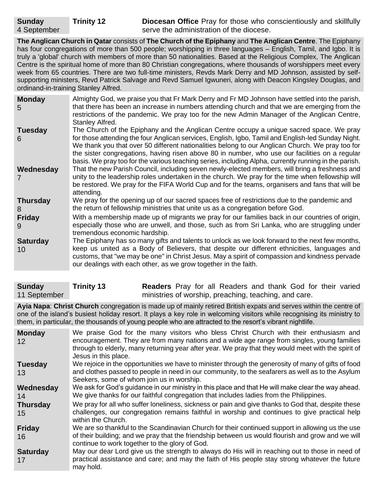**Trinity 12 Diocesan Office** Pray for those who conscientiously and skillfully serve the administration of the diocese.

**The Anglican Church in Qatar** consists of **The Church of the Epiphany** and **The Anglican Centre**. The Epiphany has four congregations of more than 500 people; worshipping in three languages – English, Tamil, and Igbo. It is truly a 'global' church with members of more than 50 nationalities. Based at the Religious Complex, The Anglican Centre is the spiritual home of more than 80 Christian congregations, where thousands of worshippers meet every week from 65 countries. There are two full-time ministers, Revds Mark Derry and MD Johnson, assisted by selfsupporting ministers, Revd Patrick Salvage and Revd Samuel Igwuneri, along with Deacon Kingsley Douglas, and ordinand-in-training Stanley Alfred.

| <b>Monday</b><br>5    | Almighty God, we praise you that Fr Mark Derry and Fr MD Johnson have settled into the parish,<br>that there has been an increase in numbers attending church and that we are emerging from the<br>restrictions of the pandemic. We pray too for the new Admin Manager of the Anglican Centre,<br>Stanley Alfred.                                                                                                                                                                                             |
|-----------------------|---------------------------------------------------------------------------------------------------------------------------------------------------------------------------------------------------------------------------------------------------------------------------------------------------------------------------------------------------------------------------------------------------------------------------------------------------------------------------------------------------------------|
| <b>Tuesday</b><br>6   | The Church of the Epiphany and the Anglican Centre occupy a unique sacred space. We pray<br>for those attending the four Anglican services, English, Igbo, Tamil and English-led Sunday Night.<br>We thank you that over 50 different nationalities belong to our Anglican Church. We pray too for<br>the sister congregations, having risen above 80 in number, who use our facilities on a regular<br>basis. We pray too for the various teaching series, including Alpha, currently running in the parish. |
| Wednesday             | That the new Parish Council, including seven newly-elected members, will bring a freshness and<br>unity to the leadership roles undertaken in the church. We pray for the time when fellowship will<br>be restored. We pray for the FIFA World Cup and for the teams, organisers and fans that will be<br>attending.                                                                                                                                                                                          |
| <b>Thursday</b><br>8  | We pray for the opening up of our sacred spaces free of restrictions due to the pandemic and<br>the return of fellowship ministries that unite us as a congregation before God.                                                                                                                                                                                                                                                                                                                               |
| <b>Friday</b><br>9    | With a membership made up of migrants we pray for our families back in our countries of origin,<br>especially those who are unwell, and those, such as from Sri Lanka, who are struggling under<br>tremendous economic hardship.                                                                                                                                                                                                                                                                              |
| <b>Saturday</b><br>10 | The Epiphany has so many gifts and talents to unlock as we look forward to the next few months,<br>keep us united as a Body of Believers, that despite our different ethnicities, languages and<br>customs, that "we may be one" in Christ Jesus. May a spirit of compassion and kindness pervade<br>our dealings with each other, as we grow together in the faith.                                                                                                                                          |

| <b>Sunday</b> | <b>Trinity 13</b> | <b>Readers</b> Pray for all Readers and thank God for their varied |
|---------------|-------------------|--------------------------------------------------------------------|
| 11 September  |                   | ministries of worship, preaching, teaching, and care.              |

**Ayia Napa**: **Christ Church** congregation is made up of mainly retired British expats and serves within the centre of one of the island's busiest holiday resort. It plays a key role in welcoming visitors while recognising its ministry to them, in particular, the thousands of young people who are attracted to the resort's vibrant nightlife.

| <b>Monday</b><br>$12 \,$ | We praise God for the many visitors who bless Christ Church with their enthusiasm and<br>encouragement. They are from many nations and a wide age range from singles, young families<br>through to elderly, many returning year after year. We pray that they would meet with the spirit of<br>Jesus in this place. |
|--------------------------|---------------------------------------------------------------------------------------------------------------------------------------------------------------------------------------------------------------------------------------------------------------------------------------------------------------------|
| <b>Tuesday</b>           | We rejoice in the opportunities we have to minister through the generosity of many of gifts of food                                                                                                                                                                                                                 |
| 13                       | and clothes passed to people in need in our community, to the seafarers as well as to the Asylum<br>Seekers, some of whom join us in worship.                                                                                                                                                                       |
| Wednesday                | We ask for God's guidance in our ministry in this place and that He will make clear the way ahead.                                                                                                                                                                                                                  |
| 14                       | We give thanks for our faithful congregation that includes ladies from the Philippines.                                                                                                                                                                                                                             |
| <b>Thursday</b>          | We pray for all who suffer loneliness, sickness or pain and give thanks to God that, despite these                                                                                                                                                                                                                  |
| 15                       | challenges, our congregation remains faithful in worship and continues to give practical help<br>within the Church.                                                                                                                                                                                                 |
| <b>Friday</b>            | We are so thankful to the Scandinavian Church for their continued support in allowing us the use                                                                                                                                                                                                                    |
| 16                       | of their building; and we pray that the friendship between us would flourish and grow and we will<br>continue to work together to the glory of God.                                                                                                                                                                 |
| <b>Saturday</b><br>17    | May our dear Lord give us the strength to always do His will in reaching out to those in need of<br>practical assistance and care; and may the faith of His people stay strong whatever the future<br>may hold.                                                                                                     |

**Sunday**

4 September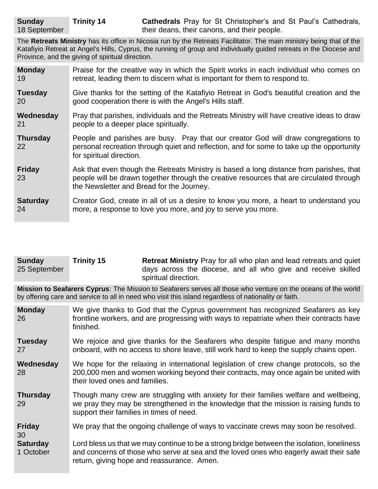The **Retreats Ministry** has its office in Nicosia run by the Retreats Facilitator. The main ministry being that of the Katafiyio Retreat at Angel's Hills, Cyprus, the running of group and individually guided retreats in the Diocese and Province, and the giving of spiritual direction.

| <b>Monday</b>         | Praise for the creative way in which the Spirit works in each individual who comes on                                                                                                                                            |  |  |
|-----------------------|----------------------------------------------------------------------------------------------------------------------------------------------------------------------------------------------------------------------------------|--|--|
| 19                    | retreat, leading them to discern what is important for them to respond to.                                                                                                                                                       |  |  |
| <b>Tuesday</b>        | Give thanks for the setting of the Katafiyio Retreat in God's beautiful creation and the                                                                                                                                         |  |  |
| <b>20</b>             | good cooperation there is with the Angel's Hills staff.                                                                                                                                                                          |  |  |
| Wednesday             | Pray that parishes, individuals and the Retreats Ministry will have creative ideas to draw                                                                                                                                       |  |  |
| 21                    | people to a deeper place spiritually.                                                                                                                                                                                            |  |  |
| <b>Thursday</b><br>22 | People and parishes are busy. Pray that our creator God will draw congregations to<br>personal recreation through quiet and reflection, and for some to take up the opportunity<br>for spiritual direction.                      |  |  |
| <b>Friday</b><br>23   | Ask that even though the Retreats Ministry is based a long distance from parishes, that<br>people will be drawn together through the creative resources that are circulated through<br>the Newsletter and Bread for the Journey. |  |  |
| <b>Saturday</b>       | Creator God, create in all of us a desire to know you more, a heart to understand you                                                                                                                                            |  |  |
| 24                    | more, a response to love you more, and joy to serve you more.                                                                                                                                                                    |  |  |

| <b>Sunday</b> | <b>Trinity 15</b> | <b>Retreat Ministry</b> Pray for all who plan and lead retreats and quiet             |
|---------------|-------------------|---------------------------------------------------------------------------------------|
| 25 September  |                   | days across the diocese, and all who give and receive skilled<br>spiritual direction. |

**Mission to Seafarers Cyprus**: The Mission to Seafarers serves all those who venture on the oceans of the world by offering care and service to all in need who visit this island regardless of nationality or faith.

**Monday** 26 We give thanks to God that the Cyprus government has recognized Seafarers as key frontline workers, and are progressing with ways to repatriate when their contracts have finished.

**Tuesday** 27 We rejoice and give thanks for the Seafarers who despite fatigue and many months onboard, with no access to shore leave, still work hard to keep the supply chains open.

**Wednesday** 28 We hope for the relaxing in international legislation of crew change protocols, so the 200,000 men and women working beyond their contracts, may once again be united with their loved ones and families.

**Thursday** 29 Though many crew are struggling with anxiety for their families welfare and wellbeing, we pray they may be strengthened in the knowledge that the mission is raising funds to support their families in times of need.

**Friday** We pray that the ongoing challenge of ways to vaccinate crews may soon be resolved.

30 **Saturday** 1 October Lord bless us that we may continue to be a strong bridge between the isolation, loneliness and concerns of those who serve at sea and the loved ones who eagerly await their safe return, giving hope and reassurance. Amen.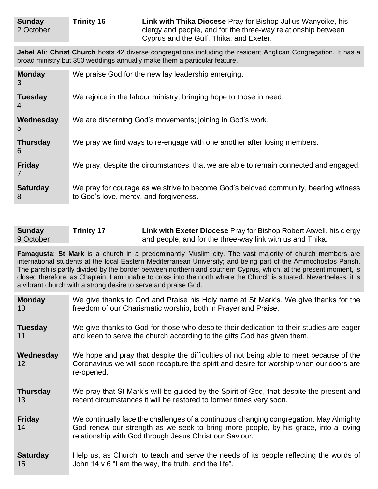| Sunday    | <b>Trinity 16</b> | Link with Thika Diocese Pray for Bishop Julius Wanyoike, his  |
|-----------|-------------------|---------------------------------------------------------------|
| 2 October |                   | clergy and people, and for the three-way relationship between |
|           |                   | Cyprus and the Gulf, Thika, and Exeter.                       |

**Jebel Ali**: **Christ Church** hosts 42 diverse congregations including the resident Anglican Congregation. It has a broad ministry but 350 weddings annually make them a particular feature.

| <b>Monday</b><br>3               | We praise God for the new lay leadership emerging.                                                                            |
|----------------------------------|-------------------------------------------------------------------------------------------------------------------------------|
| <b>Tuesday</b><br>$\overline{4}$ | We rejoice in the labour ministry; bringing hope to those in need.                                                            |
| Wednesday<br>5                   | We are discerning God's movements; joining in God's work.                                                                     |
| <b>Thursday</b><br>6             | We pray we find ways to re-engage with one another after losing members.                                                      |
| <b>Friday</b>                    | We pray, despite the circumstances, that we are able to remain connected and engaged.                                         |
| <b>Saturday</b><br>8             | We pray for courage as we strive to become God's beloved community, bearing witness<br>to God's love, mercy, and forgiveness. |

| <b>Sunday</b> | <b>Trinity 17</b> | Link with Exeter Diocese Pray for Bishop Robert Atwell, his clergy |
|---------------|-------------------|--------------------------------------------------------------------|
| 9 October     |                   | and people, and for the three-way link with us and Thika.          |

**Famagusta**: **St Mark** is a church in a predominantly Muslim city. The vast majority of church members are international students at the local Eastern Mediterranean University; and being part of the Ammochostos Parish. The parish is partly divided by the border between northern and southern Cyprus, which, at the present moment, is closed therefore, as Chaplain, I am unable to cross into the north where the Church is situated. Nevertheless, it is a vibrant church with a strong desire to serve and praise God.

| <b>Monday</b>       | We give thanks to God and Praise his Holy name at St Mark's. We give thanks for the                                                                                                                                                      |
|---------------------|------------------------------------------------------------------------------------------------------------------------------------------------------------------------------------------------------------------------------------------|
| 10                  | freedom of our Charismatic worship, both in Prayer and Praise.                                                                                                                                                                           |
| <b>Tuesday</b>      | We give thanks to God for those who despite their dedication to their studies are eager                                                                                                                                                  |
| 11                  | and keen to serve the church according to the gifts God has given them.                                                                                                                                                                  |
| Wednesday<br>12     | We hope and pray that despite the difficulties of not being able to meet because of the<br>Coronavirus we will soon recapture the spirit and desire for worship when our doors are<br>re-opened.                                         |
| <b>Thursday</b>     | We pray that St Mark's will be guided by the Spirit of God, that despite the present and                                                                                                                                                 |
| 13                  | recent circumstances it will be restored to former times very soon.                                                                                                                                                                      |
| <b>Friday</b><br>14 | We continually face the challenges of a continuous changing congregation. May Almighty<br>God renew our strength as we seek to bring more people, by his grace, into a loving<br>relationship with God through Jesus Christ our Saviour. |
| <b>Saturday</b>     | Help us, as Church, to teach and serve the needs of its people reflecting the words of                                                                                                                                                   |
| 15                  | John 14 $\vee$ 6 "I am the way, the truth, and the life".                                                                                                                                                                                |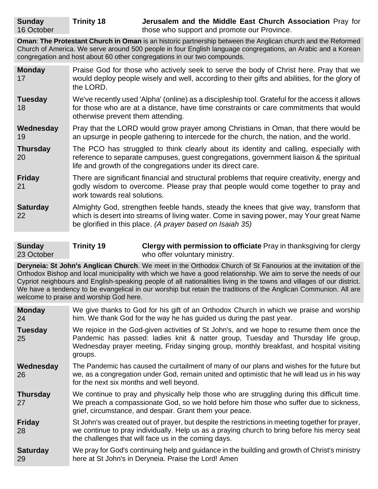**Oman**: **The Protestant Church in Oman** is an historic partnership between the Anglican church and the Reformed Church of America. We serve around 500 people in four English language congregations, an Arabic and a Korean congregation and host about 60 other congregations in our two compounds.

| <b>Monday</b><br>17   | Praise God for those who actively seek to serve the body of Christ here. Pray that we<br>would deploy people wisely and well, according to their gifts and abilities, for the glory of<br>the LORD.                                              |
|-----------------------|--------------------------------------------------------------------------------------------------------------------------------------------------------------------------------------------------------------------------------------------------|
| <b>Tuesday</b><br>18  | We've recently used 'Alpha' (online) as a discipleship tool. Grateful for the access it allows<br>for those who are at a distance, have time constraints or care commitments that would<br>otherwise prevent them attending.                     |
| Wednesday<br>19       | Pray that the LORD would grow prayer among Christians in Oman, that there would be<br>an upsurge in people gathering to intercede for the church, the nation, and the world.                                                                     |
| <b>Thursday</b><br>20 | The PCO has struggled to think clearly about its identity and calling, especially with<br>reference to separate campuses, guest congregations, government liaison & the spiritual<br>life and growth of the congregations under its direct care. |
| <b>Friday</b><br>21   | There are significant financial and structural problems that require creativity, energy and<br>godly wisdom to overcome. Please pray that people would come together to pray and<br>work towards real solutions.                                 |
| <b>Saturday</b><br>22 | Almighty God, strengthen feeble hands, steady the knees that give way, transform that<br>which is desert into streams of living water. Come in saving power, may Your great Name<br>be glorified in this place. (A prayer based on Isaiah 35)    |

**Sunday** 23 October **Trinity 19 Clergy with permission to officiate** Pray in thanksgiving for clergy who offer voluntary ministry.

**Deryneia: St John's Anglican Church**. We meet in the Orthodox Church of St Fanourios at the invitation of the Orthodox Bishop and local municipality with which we have a good relationship. We aim to serve the needs of our Cypriot neighbours and English-speaking people of all nationalities living in the towns and villages of our district. We have a tendency to be evangelical in our worship but retain the traditions of the Anglican Communion. All are welcome to praise and worship God here.

**Monday** 24 We give thanks to God for his gift of an Orthodox Church in which we praise and worship him. We thank God for the way he has guided us during the past year.

**Tuesday** 25 We rejoice in the God-given activities of St John's, and we hope to resume them once the Pandemic has passed: ladies knit & natter group, Tuesday and Thursday life group, Wednesday prayer meeting, Friday singing group, monthly breakfast, and hospital visiting groups.

**Wednesday** 26 The Pandemic has caused the curtailment of many of our plans and wishes for the future but we, as a congregation under God, remain united and optimistic that he will lead us in his way for the next six months and well beyond.

**Thursday** 27 We continue to pray and physically help those who are struggling during this difficult time. We preach a compassionate God, so we hold before him those who suffer due to sickness, grief, circumstance, and despair. Grant them your peace.

**Friday** 28 St John's was created out of prayer, but despite the restrictions in meeting together for prayer, we continue to pray individually. Help us as a praying church to bring before his mercy seat the challenges that will face us in the coming days.

**Saturday** 29 We pray for God's continuing help and guidance in the building and growth of Christ's ministry here at St John's in Deryneia. Praise the Lord! Amen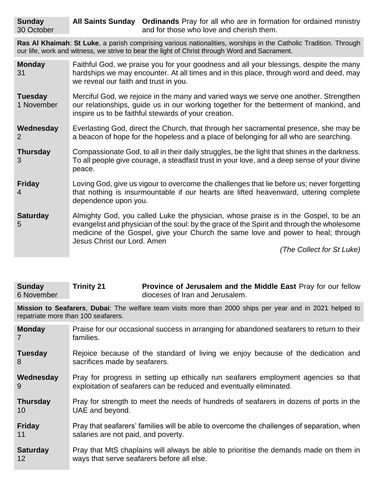**All Saints Sunday Ordinands** Pray for all who are in formation for ordained ministry and for those who love and cherish them.

**Ras Al Khaimah**: **St Luke**, a parish comprising various nationalities, worships in the Catholic Tradition. Through our life, work and witness, we strive to bear the light of Christ through Word and Sacrament.

| Faithful God, we praise you for your goodness and all your blessings, despite the many<br>hardships we may encounter. At all times and in this place, through word and deed, may<br>we reveal our faith and trust in you.                                                                                                               |  |
|-----------------------------------------------------------------------------------------------------------------------------------------------------------------------------------------------------------------------------------------------------------------------------------------------------------------------------------------|--|
| Merciful God, we rejoice in the many and varied ways we serve one another. Strengthen<br>our relationships, guide us in our working together for the betterment of mankind, and<br>inspire us to be faithful stewards of your creation.                                                                                                 |  |
| Everlasting God, direct the Church, that through her sacramental presence, she may be<br>a beacon of hope for the hopeless and a place of belonging for all who are searching.                                                                                                                                                          |  |
| Compassionate God, to all in their daily struggles, be the light that shines in the darkness.<br>To all people give courage, a steadfast trust in your love, and a deep sense of your divine<br>peace.                                                                                                                                  |  |
| Loving God, give us vigour to overcome the challenges that lie before us; never forgetting<br>that nothing is insurmountable if our hearts are lifted heavenward, uttering complete<br>dependence upon you.                                                                                                                             |  |
| Almighty God, you called Luke the physician, whose praise is in the Gospel, to be an<br>evangelist and physician of the soul: by the grace of the Spirit and through the wholesome<br>medicine of the Gospel, give your Church the same love and power to heal; through<br>Jesus Christ our Lord. Amen<br>$(Tha$ Collect for $St$ Luke) |  |
|                                                                                                                                                                                                                                                                                                                                         |  |

*(The Collect for St Luke)*

| <b>Sunday</b> | <b>Trinity 21</b> | Province of Jerusalem and the Middle East Pray for our fellow |
|---------------|-------------------|---------------------------------------------------------------|
| 6 November    |                   | dioceses of Iran and Jerusalem.                               |

**Mission to Seafarers**, **Dubai**: The welfare team visits more than 2000 ships per year and in 2021 helped to repatriate more than 100 seafarers.

| <b>Monday</b>   | Praise for our occasional success in arranging for abandoned seafarers to return to their |
|-----------------|-------------------------------------------------------------------------------------------|
| 7               | families.                                                                                 |
| <b>Tuesday</b>  | Rejoice because of the standard of living we enjoy because of the dedication and          |
| 8               | sacrifices made by seafarers.                                                             |
| Wednesday       | Pray for progress in setting up ethically run seafarers employment agencies so that       |
| 9               | exploitation of seafarers can be reduced and eventually eliminated.                       |
| <b>Thursday</b> | Pray for strength to meet the needs of hundreds of seafarers in dozens of ports in the    |
| 10              | UAE and beyond.                                                                           |
| <b>Friday</b>   | Pray that seafarers' families will be able to overcome the challenges of separation, when |
| 11              | salaries are not paid, and poverty.                                                       |
| <b>Saturday</b> | Pray that MtS chaplains will always be able to prioritise the demands made on them in     |
| 12 <sup>°</sup> | ways that serve seafarers before all else.                                                |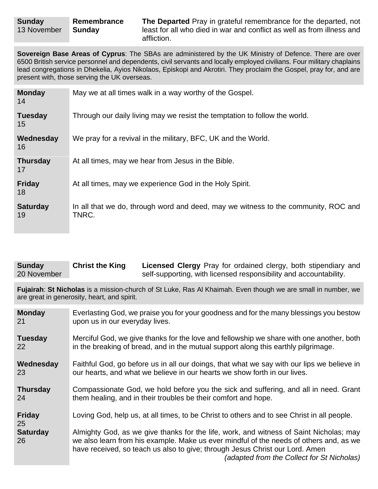**Sovereign Base Areas of Cyprus**: The SBAs are administered by the UK Ministry of Defence. There are over 6500 British service personnel and dependents, civil servants and locally employed civilians. Four military chaplains lead congregations in Dhekelia, Ayios Nikolaos, Episkopi and Akrotiri. They proclaim the Gospel, pray for, and are present with, those serving the UK overseas.

| <b>Monday</b><br>14   | May we at all times walk in a way worthy of the Gospel.                                     |
|-----------------------|---------------------------------------------------------------------------------------------|
| <b>Tuesday</b><br>15  | Through our daily living may we resist the temptation to follow the world.                  |
| Wednesday<br>16       | We pray for a revival in the military, BFC, UK and the World.                               |
| <b>Thursday</b><br>17 | At all times, may we hear from Jesus in the Bible.                                          |
| <b>Friday</b><br>18   | At all times, may we experience God in the Holy Spirit.                                     |
| <b>Saturday</b><br>19 | In all that we do, through word and deed, may we witness to the community, ROC and<br>TNRC. |

| <b>Sunday</b> | <b>Christ the King</b> | <b>Licensed Clergy</b> Pray for ordained clergy, both stipendiary and |
|---------------|------------------------|-----------------------------------------------------------------------|
| 20 November   |                        | self-supporting, with licensed responsibility and accountability.     |

**Fujairah**: **St Nicholas** is a mission-church of St Luke, Ras Al Khaimah. Even though we are small in number, we are great in generosity, heart, and spirit.

| <b>Monday</b>         | Everlasting God, we praise you for your goodness and for the many blessings you bestow                                                                                                                                                                                                                         |
|-----------------------|----------------------------------------------------------------------------------------------------------------------------------------------------------------------------------------------------------------------------------------------------------------------------------------------------------------|
| 21                    | upon us in our everyday lives.                                                                                                                                                                                                                                                                                 |
| <b>Tuesday</b>        | Merciful God, we give thanks for the love and fellowship we share with one another, both                                                                                                                                                                                                                       |
| 22                    | in the breaking of bread, and in the mutual support along this earthly pilgrimage.                                                                                                                                                                                                                             |
| Wednesday             | Faithful God, go before us in all our doings, that what we say with our lips we believe in                                                                                                                                                                                                                     |
| 23                    | our hearts, and what we believe in our hearts we show forth in our lives.                                                                                                                                                                                                                                      |
| <b>Thursday</b>       | Compassionate God, we hold before you the sick and suffering, and all in need. Grant                                                                                                                                                                                                                           |
| 24                    | them healing, and in their troubles be their comfort and hope.                                                                                                                                                                                                                                                 |
| <b>Friday</b><br>25   | Loving God, help us, at all times, to be Christ to others and to see Christ in all people.                                                                                                                                                                                                                     |
| <b>Saturday</b><br>26 | Almighty God, as we give thanks for the life, work, and witness of Saint Nicholas; may<br>we also learn from his example. Make us ever mindful of the needs of others and, as we<br>have received, so teach us also to give; through Jesus Christ our Lord. Amen<br>(adapted from the Collect for St Nicholas) |